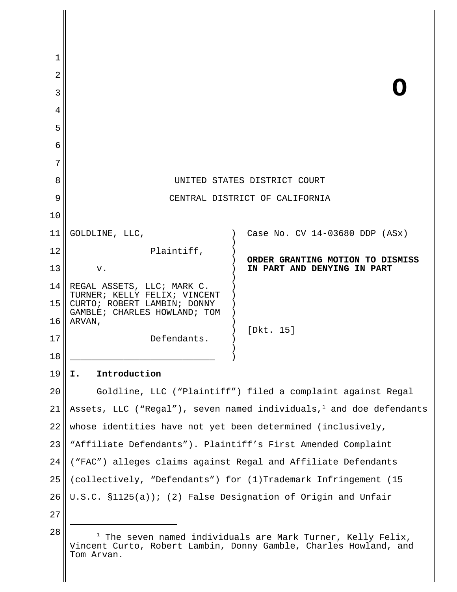| 1  |                                                                                                                                                 |                                                                 |
|----|-------------------------------------------------------------------------------------------------------------------------------------------------|-----------------------------------------------------------------|
| 2  |                                                                                                                                                 |                                                                 |
| 3  |                                                                                                                                                 |                                                                 |
| 4  |                                                                                                                                                 |                                                                 |
| 5  |                                                                                                                                                 |                                                                 |
| 6  |                                                                                                                                                 |                                                                 |
| 7  |                                                                                                                                                 |                                                                 |
| 8  | UNITED STATES DISTRICT COURT                                                                                                                    |                                                                 |
| 9  | CENTRAL DISTRICT OF CALIFORNIA                                                                                                                  |                                                                 |
| 10 |                                                                                                                                                 |                                                                 |
| 11 | GOLDLINE, LLC,                                                                                                                                  | Case No. CV 14-03680 DDP (ASx)                                  |
| 12 | Plaintiff,                                                                                                                                      |                                                                 |
| 13 | ${\tt v}$ .                                                                                                                                     | ORDER GRANTING MOTION TO DISMISS<br>IN PART AND DENYING IN PART |
| 14 | REGAL ASSETS, LLC; MARK C.                                                                                                                      |                                                                 |
| 15 | TURNER; KELLY FELIX; VINCENT<br>CURTO; ROBERT LAMBIN; DONNY                                                                                     |                                                                 |
| 16 | GAMBLE; CHARLES HOWLAND; TOM<br>ARVAN,                                                                                                          |                                                                 |
| 17 | Defendants.                                                                                                                                     | [Dkt. 15]                                                       |
| 18 |                                                                                                                                                 |                                                                 |
| 19 | Introduction<br>I.                                                                                                                              |                                                                 |
| 20 | Goldline, LLC ("Plaintiff") filed a complaint against Regal                                                                                     |                                                                 |
| 21 | Assets, LLC ("Regal"), seven named individuals, and doe defendants                                                                              |                                                                 |
| 22 | whose identities have not yet been determined (inclusively,                                                                                     |                                                                 |
| 23 | "Affiliate Defendants"). Plaintiff's First Amended Complaint                                                                                    |                                                                 |
| 24 | ("FAC") alleges claims against Regal and Affiliate Defendants                                                                                   |                                                                 |
| 25 | (collectively, "Defendants") for (1)Trademark Infringement (15                                                                                  |                                                                 |
| 26 | U.S.C. $$1125(a))$ ; (2) False Designation of Origin and Unfair                                                                                 |                                                                 |
| 27 |                                                                                                                                                 |                                                                 |
| 28 | $1$ The seven named individuals are Mark Turner, Kelly Felix,<br>Vincent Curto, Robert Lambin, Donny Gamble, Charles Howland, and<br>Tom Arvan. |                                                                 |

 $\Big\|$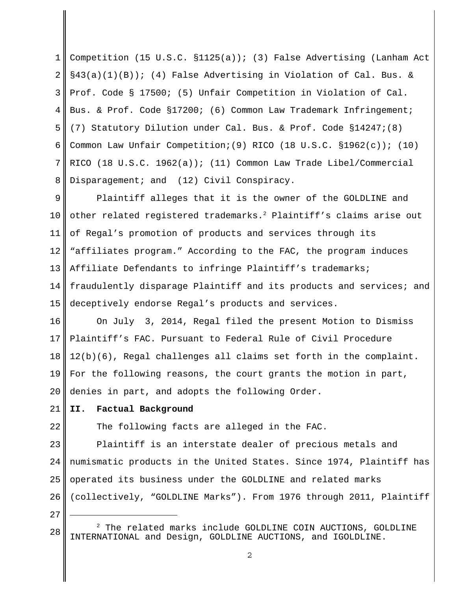1 2 3 4 5 6 7 8 Competition (15 U.S.C. §1125(a)); (3) False Advertising (Lanham Act  $\S$ 43(a)(1)(B)); (4) False Advertising in Violation of Cal. Bus. & Prof. Code § 17500; (5) Unfair Competition in Violation of Cal. Bus. & Prof. Code §17200; (6) Common Law Trademark Infringement; (7) Statutory Dilution under Cal. Bus. & Prof. Code §14247;(8) Common Law Unfair Competition; (9) RICO (18 U.S.C.  $\S 1962(c)$ ); (10) RICO (18 U.S.C. 1962(a)); (11) Common Law Trade Libel/Commercial Disparagement; and (12) Civil Conspiracy.

9 10 11 12 13 14 15 Plaintiff alleges that it is the owner of the GOLDLINE and other related registered trademarks.<sup>2</sup> Plaintiff's claims arise out of Regal's promotion of products and services through its "affiliates program." According to the FAC, the program induces Affiliate Defendants to infringe Plaintiff's trademarks; fraudulently disparage Plaintiff and its products and services; and deceptively endorse Regal's products and services.

16 17 18 19 20 On July 3, 2014, Regal filed the present Motion to Dismiss Plaintiff's FAC. Pursuant to Federal Rule of Civil Procedure 12(b)(6), Regal challenges all claims set forth in the complaint. For the following reasons, the court grants the motion in part, denies in part, and adopts the following Order.

21 **II. Factual Background**

22

The following facts are alleged in the FAC.

23  $2.4$ 25 26 Plaintiff is an interstate dealer of precious metals and numismatic products in the United States. Since 1974, Plaintiff has operated its business under the GOLDLINE and related marks (collectively, "GOLDLINE Marks"). From 1976 through 2011, Plaintiff

<sup>28</sup>  $^2$  The related marks include GOLDLINE COIN AUCTIONS, GOLDLINE INTERNATIONAL and Design, GOLDLINE AUCTIONS, and IGOLDLINE.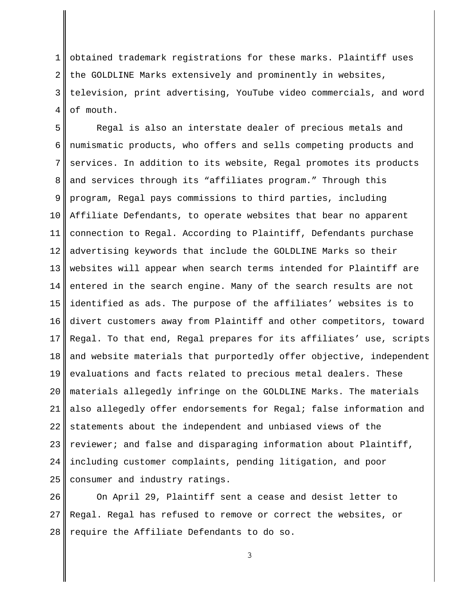1 2 3 4 obtained trademark registrations for these marks. Plaintiff uses the GOLDLINE Marks extensively and prominently in websites, television, print advertising, YouTube video commercials, and word of mouth.

5 6 7 8 9 10 11 12 13 14 15 16 17 18 19 20 21 22 23  $2.4$ 25 Regal is also an interstate dealer of precious metals and numismatic products, who offers and sells competing products and services. In addition to its website, Regal promotes its products and services through its "affiliates program." Through this program, Regal pays commissions to third parties, including Affiliate Defendants, to operate websites that bear no apparent connection to Regal. According to Plaintiff, Defendants purchase advertising keywords that include the GOLDLINE Marks so their websites will appear when search terms intended for Plaintiff are entered in the search engine. Many of the search results are not identified as ads. The purpose of the affiliates' websites is to divert customers away from Plaintiff and other competitors, toward Regal. To that end, Regal prepares for its affiliates' use, scripts and website materials that purportedly offer objective, independent evaluations and facts related to precious metal dealers. These materials allegedly infringe on the GOLDLINE Marks. The materials also allegedly offer endorsements for Regal; false information and statements about the independent and unbiased views of the reviewer; and false and disparaging information about Plaintiff, including customer complaints, pending litigation, and poor consumer and industry ratings.

26 27 28 On April 29, Plaintiff sent a cease and desist letter to Regal. Regal has refused to remove or correct the websites, or require the Affiliate Defendants to do so.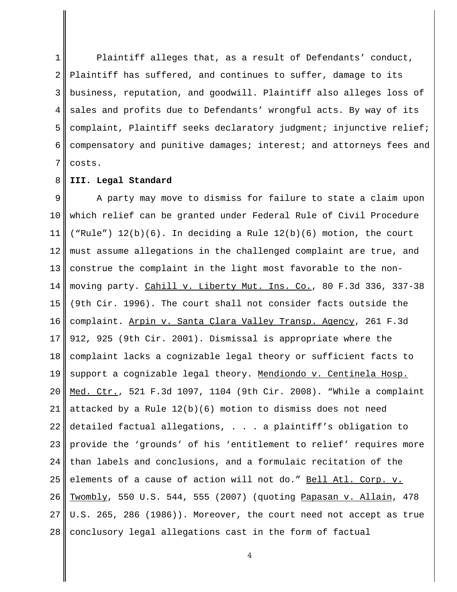1 2 3 4 5 6 7 Plaintiff alleges that, as a result of Defendants' conduct, Plaintiff has suffered, and continues to suffer, damage to its business, reputation, and goodwill. Plaintiff also alleges loss of sales and profits due to Defendants' wrongful acts. By way of its complaint, Plaintiff seeks declaratory judgment; injunctive relief; compensatory and punitive damages; interest; and attorneys fees and costs.

#### 8 **III. Legal Standard**

9 10 11 12 13 14 15 16 17 18 19 20 21 22 23 24 25 26 27 28 A party may move to dismiss for failure to state a claim upon which relief can be granted under Federal Rule of Civil Procedure ("Rule")  $12(b)(6)$ . In deciding a Rule  $12(b)(6)$  motion, the court must assume allegations in the challenged complaint are true, and construe the complaint in the light most favorable to the nonmoving party. Cahill v. Liberty Mut. Ins. Co., 80 F.3d 336, 337-38 (9th Cir. 1996). The court shall not consider facts outside the complaint. Arpin v. Santa Clara Valley Transp. Agency, 261 F.3d 912, 925 (9th Cir. 2001). Dismissal is appropriate where the complaint lacks a cognizable legal theory or sufficient facts to support a cognizable legal theory. Mendiondo v. Centinela Hosp. Med. Ctr., 521 F.3d 1097, 1104 (9th Cir. 2008). "While a complaint attacked by a Rule  $12(b)(6)$  motion to dismiss does not need detailed factual allegations, . . . a plaintiff's obligation to provide the 'grounds' of his 'entitlement to relief' requires more than labels and conclusions, and a formulaic recitation of the elements of a cause of action will not do." Bell Atl. Corp. v. Twombly, 550 U.S. 544, 555 (2007) (quoting Papasan v. Allain, 478 U.S. 265, 286 (1986)). Moreover, the court need not accept as true conclusory legal allegations cast in the form of factual

 $\Delta$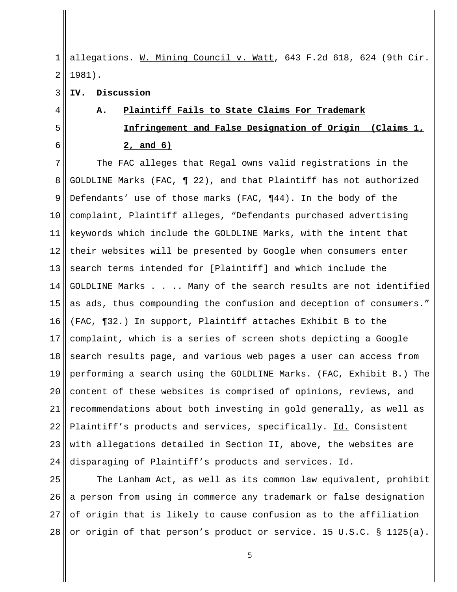1 2 allegations. W. Mining Council v. Watt, 643 F.2d 618, 624 (9th Cir. 1981).

3 **IV. Discussion**

4

5

6

# **A. Plaintiff Fails to State Claims For Trademark Infringement and False Designation of Origin (Claims 1, 2, and 6)**

7 8 9 10 11 12 13 14 15 16 17 18 19 20 21 22 23 24 The FAC alleges that Regal owns valid registrations in the GOLDLINE Marks (FAC, ¶ 22), and that Plaintiff has not authorized Defendants' use of those marks (FAC, ¶44). In the body of the complaint, Plaintiff alleges, "Defendants purchased advertising keywords which include the GOLDLINE Marks, with the intent that their websites will be presented by Google when consumers enter search terms intended for [Plaintiff] and which include the GOLDLINE Marks . . .. Many of the search results are not identified as ads, thus compounding the confusion and deception of consumers." (FAC, ¶32.) In support, Plaintiff attaches Exhibit B to the complaint, which is a series of screen shots depicting a Google search results page, and various web pages a user can access from performing a search using the GOLDLINE Marks. (FAC, Exhibit B.) The content of these websites is comprised of opinions, reviews, and recommendations about both investing in gold generally, as well as Plaintiff's products and services, specifically. Id. Consistent with allegations detailed in Section II, above, the websites are disparaging of Plaintiff's products and services. Id.

25 26 27 28 The Lanham Act, as well as its common law equivalent, prohibit a person from using in commerce any trademark or false designation of origin that is likely to cause confusion as to the affiliation or origin of that person's product or service. 15 U.S.C. § 1125(a).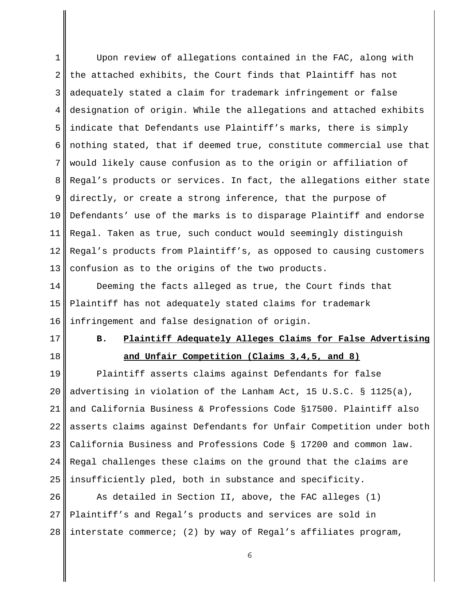1 2 3 4 5 6 7 8 9 10 11 12 13 Upon review of allegations contained in the FAC, along with the attached exhibits, the Court finds that Plaintiff has not adequately stated a claim for trademark infringement or false designation of origin. While the allegations and attached exhibits indicate that Defendants use Plaintiff's marks, there is simply nothing stated, that if deemed true, constitute commercial use that would likely cause confusion as to the origin or affiliation of Regal's products or services. In fact, the allegations either state directly, or create a strong inference, that the purpose of Defendants' use of the marks is to disparage Plaintiff and endorse Regal. Taken as true, such conduct would seemingly distinguish Regal's products from Plaintiff's, as opposed to causing customers confusion as to the origins of the two products.

14 15 16 Deeming the facts alleged as true, the Court finds that Plaintiff has not adequately stated claims for trademark infringement and false designation of origin.

17

18

### **B. Plaintiff Adequately Alleges Claims for False Advertising and Unfair Competition (Claims 3,4,5, and 8)**

19 20 21 22 23  $2.4$ 25 Plaintiff asserts claims against Defendants for false advertising in violation of the Lanham Act, 15 U.S.C. § 1125(a), and California Business & Professions Code §17500. Plaintiff also asserts claims against Defendants for Unfair Competition under both California Business and Professions Code § 17200 and common law. Regal challenges these claims on the ground that the claims are insufficiently pled, both in substance and specificity.

26 27 28 As detailed in Section II, above, the FAC alleges (1) Plaintiff's and Regal's products and services are sold in interstate commerce; (2) by way of Regal's affiliates program,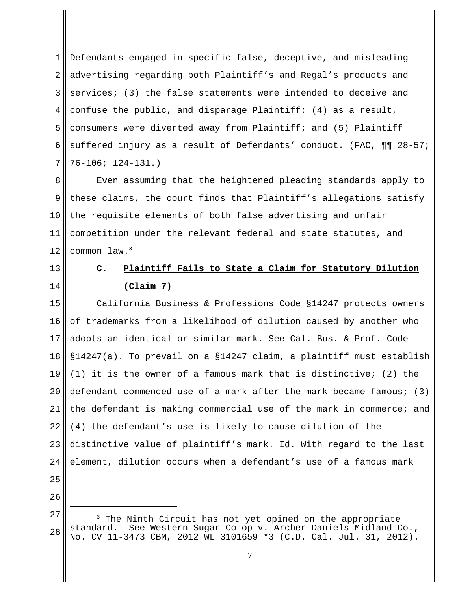1 2 3 4 5 6 7 Defendants engaged in specific false, deceptive, and misleading advertising regarding both Plaintiff's and Regal's products and services; (3) the false statements were intended to deceive and confuse the public, and disparage Plaintiff; (4) as a result, consumers were diverted away from Plaintiff; and (5) Plaintiff suffered injury as a result of Defendants' conduct. (FAC, ¶¶ 28-57; 76-106; 124-131.)

8 9 10 11 12 Even assuming that the heightened pleading standards apply to these claims, the court finds that Plaintiff's allegations satisfy the requisite elements of both false advertising and unfair competition under the relevant federal and state statutes, and common law.3

13 14

#### **C. Plaintiff Fails to State a Claim for Statutory Dilution (Claim 7)**

15 16 17 18 19 20 21 22 23 24 25 California Business & Professions Code §14247 protects owners of trademarks from a likelihood of dilution caused by another who adopts an identical or similar mark. See Cal. Bus. & Prof. Code §14247(a). To prevail on a §14247 claim, a plaintiff must establish (1) it is the owner of a famous mark that is distinctive; (2) the defendant commenced use of a mark after the mark became famous;  $(3)$ the defendant is making commercial use of the mark in commerce; and (4) the defendant's use is likely to cause dilution of the distinctive value of plaintiff's mark. Id. With regard to the last element, dilution occurs when a defendant's use of a famous mark

- 26
- 27 28 <sup>3</sup> The Ninth Circuit has not yet opined on the appropriate standard. <u>See Western Sugar Co-op v. Archer-Daniels-Midland Co.</u>,<br>No. CV 11-3473 CBM, 2012 WL 3101659 \*3 (C.D. Cal. Jul. 31, 2012).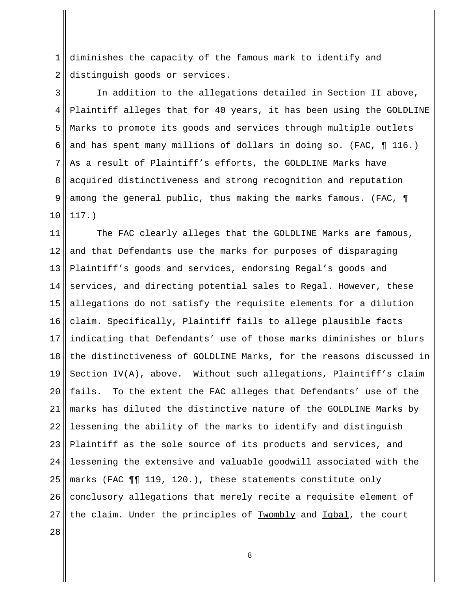1 2 diminishes the capacity of the famous mark to identify and distinguish goods or services.

3 4 5 6 7 8 9 10 In addition to the allegations detailed in Section II above, Plaintiff alleges that for 40 years, it has been using the GOLDLINE Marks to promote its goods and services through multiple outlets and has spent many millions of dollars in doing so. (FAC, ¶ 116.) As a result of Plaintiff's efforts, the GOLDLINE Marks have acquired distinctiveness and strong recognition and reputation among the general public, thus making the marks famous. (FAC, ¶ 117.)

11 12 13 14 15 16 17 18 19 20 21 22 23 24 25 26 27 28 The FAC clearly alleges that the GOLDLINE Marks are famous, and that Defendants use the marks for purposes of disparaging Plaintiff's goods and services, endorsing Regal's goods and services, and directing potential sales to Regal. However, these allegations do not satisfy the requisite elements for a dilution claim. Specifically, Plaintiff fails to allege plausible facts indicating that Defendants' use of those marks diminishes or blurs the distinctiveness of GOLDLINE Marks, for the reasons discussed in Section IV(A), above. Without such allegations, Plaintiff's claim fails. To the extent the FAC alleges that Defendants' use of the marks has diluted the distinctive nature of the GOLDLINE Marks by lessening the ability of the marks to identify and distinguish Plaintiff as the sole source of its products and services, and lessening the extensive and valuable goodwill associated with the marks (FAC ¶¶ 119, 120.), these statements constitute only conclusory allegations that merely recite a requisite element of the claim. Under the principles of Twombly and Iqbal, the court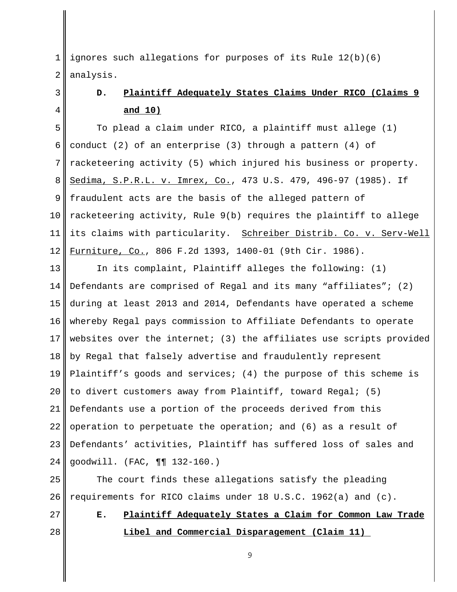1 2 ignores such allegations for purposes of its Rule 12(b)(6) analysis.

#### 3 4

## **D. Plaintiff Adequately States Claims Under RICO (Claims 9 and 10)**

5 6 7 8 9 10 11 12 To plead a claim under RICO, a plaintiff must allege (1) conduct (2) of an enterprise (3) through a pattern (4) of racketeering activity (5) which injured his business or property. Sedima, S.P.R.L. v. Imrex, Co., 473 U.S. 479, 496-97 (1985). If fraudulent acts are the basis of the alleged pattern of racketeering activity, Rule 9(b) requires the plaintiff to allege its claims with particularity. Schreiber Distrib. Co. v. Serv-Well Furniture, Co., 806 F.2d 1393, 1400-01 (9th Cir. 1986).

13 14 15 16 17 18 19 20 21 22 23 24 In its complaint, Plaintiff alleges the following: (1) Defendants are comprised of Regal and its many "affiliates"; (2) during at least 2013 and 2014, Defendants have operated a scheme whereby Regal pays commission to Affiliate Defendants to operate websites over the internet; (3) the affiliates use scripts provided by Regal that falsely advertise and fraudulently represent Plaintiff's goods and services; (4) the purpose of this scheme is to divert customers away from Plaintiff, toward Regal; (5) Defendants use a portion of the proceeds derived from this operation to perpetuate the operation; and (6) as a result of Defendants' activities, Plaintiff has suffered loss of sales and goodwill. (FAC, ¶¶ 132-160.)

25 26 The court finds these allegations satisfy the pleading requirements for RICO claims under 18 U.S.C. 1962(a) and (c).

- 27
- 28

**E. Plaintiff Adequately States a Claim for Common Law Trade Libel and Commercial Disparagement (Claim 11)**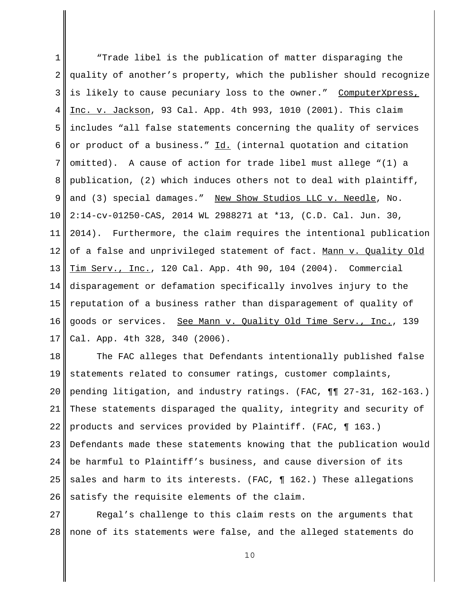1 2 3 4 5 6 7 8 9 10 11 12 13 14 15 16 17 "Trade libel is the publication of matter disparaging the quality of another's property, which the publisher should recognize is likely to cause pecuniary loss to the owner." ComputerXpress, Inc. v. Jackson, 93 Cal. App. 4th 993, 1010 (2001). This claim includes "all false statements concerning the quality of services or product of a business." Id. (internal quotation and citation omitted). A cause of action for trade libel must allege "(1) a publication, (2) which induces others not to deal with plaintiff, and (3) special damages." New Show Studios LLC v. Needle, No. 2:14-cv-01250-CAS, 2014 WL 2988271 at \*13, (C.D. Cal. Jun. 30, 2014). Furthermore, the claim requires the intentional publication of a false and unprivileged statement of fact. Mann v. Quality Old Tim Serv., Inc., 120 Cal. App. 4th 90, 104 (2004). Commercial disparagement or defamation specifically involves injury to the reputation of a business rather than disparagement of quality of goods or services. See Mann v. Quality Old Time Serv., Inc., 139 Cal. App. 4th 328, 340 (2006).

18 19 20 21 22 23 24 25 26 The FAC alleges that Defendants intentionally published false statements related to consumer ratings, customer complaints, pending litigation, and industry ratings. (FAC, ¶¶ 27-31, 162-163.) These statements disparaged the quality, integrity and security of products and services provided by Plaintiff. (FAC, ¶ 163.) Defendants made these statements knowing that the publication would be harmful to Plaintiff's business, and cause diversion of its sales and harm to its interests. (FAC,  $\P$  162.) These allegations satisfy the requisite elements of the claim.

27 28 Regal's challenge to this claim rests on the arguments that none of its statements were false, and the alleged statements do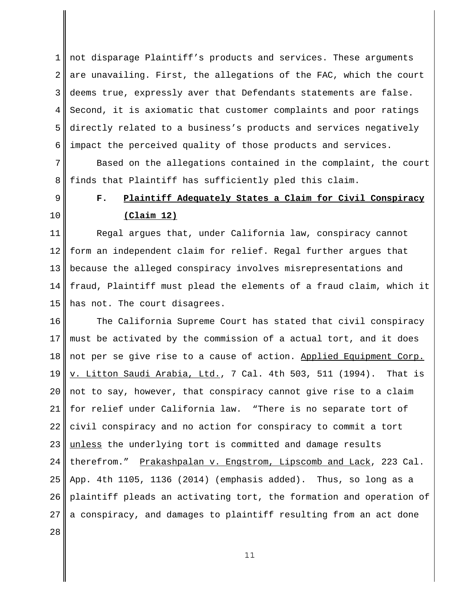1 2 3 4 5 6 not disparage Plaintiff's products and services. These arguments are unavailing. First, the allegations of the FAC, which the court deems true, expressly aver that Defendants statements are false. Second, it is axiomatic that customer complaints and poor ratings directly related to a business's products and services negatively impact the perceived quality of those products and services.

7 8 Based on the allegations contained in the complaint, the court finds that Plaintiff has sufficiently pled this claim.

9

10

#### **F. Plaintiff Adequately States a Claim for Civil Conspiracy (Claim 12)**

11 12 13 14 15 Regal argues that, under California law, conspiracy cannot form an independent claim for relief. Regal further argues that because the alleged conspiracy involves misrepresentations and fraud, Plaintiff must plead the elements of a fraud claim, which it has not. The court disagrees.

16 17 18 19 20 21 22 23 24 25 26 27 28 The California Supreme Court has stated that civil conspiracy must be activated by the commission of a actual tort, and it does not per se give rise to a cause of action. Applied Equipment Corp. v. Litton Saudi Arabia, Ltd., 7 Cal. 4th 503, 511 (1994). That is not to say, however, that conspiracy cannot give rise to a claim for relief under California law. "There is no separate tort of civil conspiracy and no action for conspiracy to commit a tort unless the underlying tort is committed and damage results therefrom." Prakashpalan v. Engstrom, Lipscomb and Lack, 223 Cal. App. 4th 1105, 1136 (2014) (emphasis added). Thus, so long as a plaintiff pleads an activating tort, the formation and operation of a conspiracy, and damages to plaintiff resulting from an act done